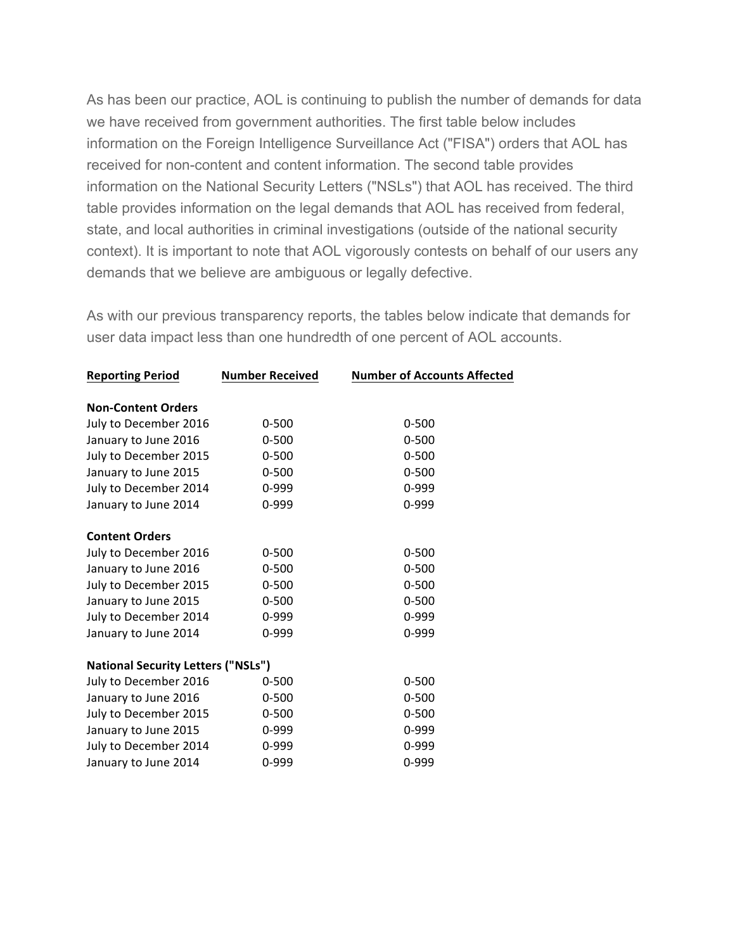As has been our practice, AOL is continuing to publish the number of demands for data we have received from government authorities. The first table below includes information on the Foreign Intelligence Surveillance Act ("FISA") orders that AOL has received for non-content and content information. The second table provides information on the National Security Letters ("NSLs") that AOL has received. The third table provides information on the legal demands that AOL has received from federal, state, and local authorities in criminal investigations (outside of the national security context). It is important to note that AOL vigorously contests on behalf of our users any demands that we believe are ambiguous or legally defective.

As with our previous transparency reports, the tables below indicate that demands for user data impact less than one hundredth of one percent of AOL accounts.

| <b>Number Received</b>                    | <b>Number of Accounts Affected</b> |
|-------------------------------------------|------------------------------------|
|                                           |                                    |
|                                           |                                    |
| $0 - 500$                                 | $0 - 500$                          |
| $0 - 500$                                 | $0 - 500$                          |
| $0 - 500$                                 | $0 - 500$                          |
| $0 - 500$                                 | $0 - 500$                          |
| $0 - 999$                                 | $0 - 999$                          |
| 0-999                                     | 0-999                              |
|                                           |                                    |
|                                           |                                    |
| $0 - 500$                                 | $0 - 500$                          |
| $0 - 500$                                 | $0 - 500$                          |
| $0 - 500$                                 | $0 - 500$                          |
| $0 - 500$                                 | $0 - 500$                          |
| $0 - 999$                                 | $0 - 999$                          |
| 0-999                                     | 0-999                              |
|                                           |                                    |
| <b>National Security Letters ("NSLs")</b> |                                    |
| $0 - 500$                                 | $0 - 500$                          |
| $0 - 500$                                 | $0 - 500$                          |
| $0 - 500$                                 | $0 - 500$                          |
| 0-999                                     | $0 - 999$                          |
| 0-999                                     | 0-999                              |
| 0-999                                     | 0-999                              |
|                                           |                                    |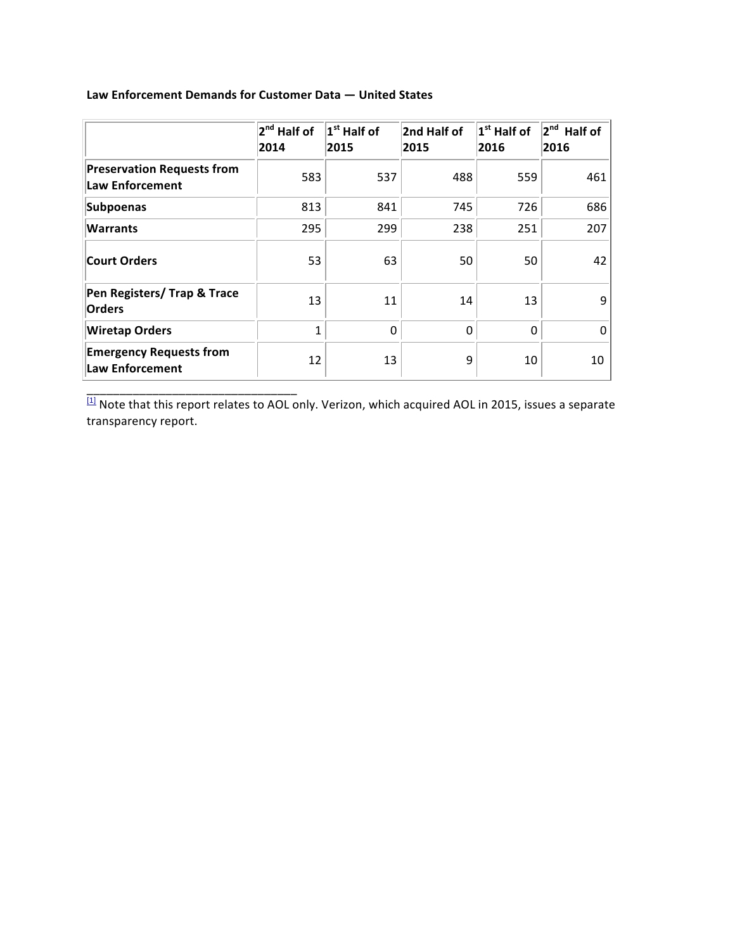|                                                      | 2 <sup>nd</sup> Half of<br>2014 | $1st$ Half of<br>2015 | 2nd Half of<br>2015 | $1st$ Half of<br>2016 | 2 <sup>nd</sup><br>Half of<br>2016 |
|------------------------------------------------------|---------------------------------|-----------------------|---------------------|-----------------------|------------------------------------|
| <b>Preservation Requests from</b><br>Law Enforcement | 583                             | 537                   | 488                 | 559                   | 461                                |
| Subpoenas                                            | 813                             | 841                   | 745                 | 726                   | 686                                |
| <b>Warrants</b>                                      | 295                             | 299                   | 238                 | 251                   | 207                                |
| <b>Court Orders</b>                                  | 53                              | 63                    | 50                  | 50                    | 42                                 |
| Pen Registers/ Trap & Trace<br>Orders                | 13                              | 11                    | 14                  | 13                    | 9                                  |
| <b>Wiretap Orders</b>                                | 1                               | 0                     | $\Omega$            | $\Omega$              | $\Omega$                           |
| <b>Emergency Requests from</b><br>Law Enforcement    | 12                              | 13                    | 9                   | 10                    | 10                                 |

## **Law Enforcement Demands for Customer Data — United States**

\_\_\_\_\_\_\_\_\_\_\_\_\_\_\_\_\_\_\_\_\_\_\_\_\_\_\_\_\_\_\_\_

 $\frac{[1]}{[1]}$  Note that this report relates to AOL only. Verizon, which acquired AOL in 2015, issues a separate transparency report.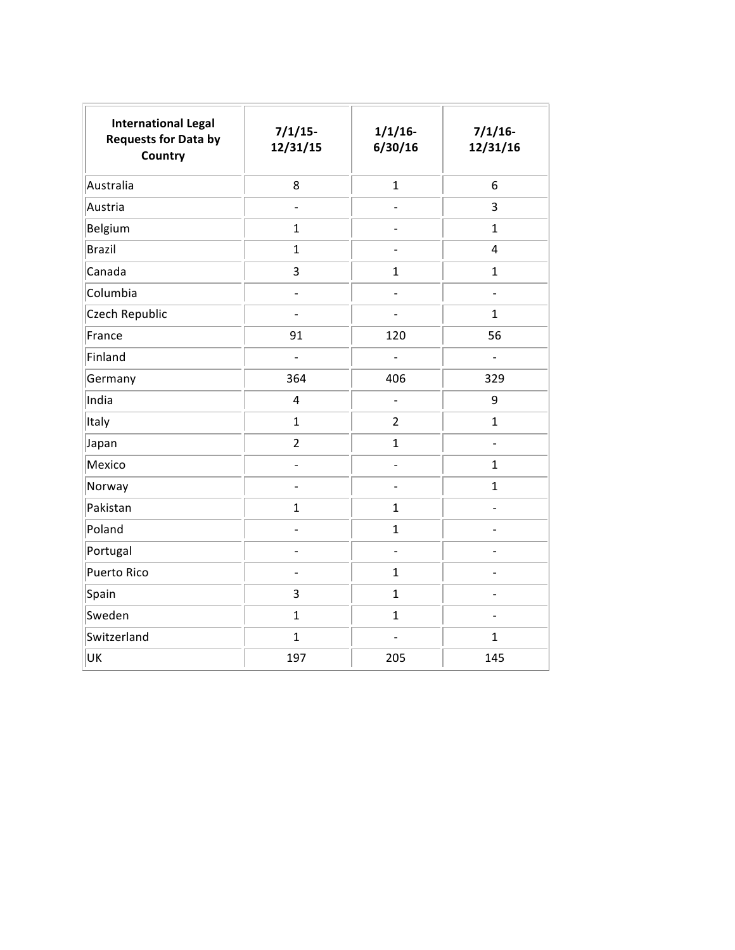| <b>International Legal</b><br><b>Requests for Data by</b><br><b>Country</b> | $7/1/15$ -<br>12/31/15       | $1/1/16$ -<br>6/30/16    | $7/1/16$ -<br>12/31/16   |
|-----------------------------------------------------------------------------|------------------------------|--------------------------|--------------------------|
| Australia                                                                   | 8                            | $\mathbf{1}$             | 6                        |
| Austria                                                                     | $\overline{\phantom{0}}$     | $\overline{\phantom{0}}$ | 3                        |
| Belgium                                                                     | $\mathbf{1}$                 | $\overline{\phantom{0}}$ | $\mathbf{1}$             |
| <b>Brazil</b>                                                               | $\mathbf{1}$                 | $\ddot{\phantom{a}}$     | 4                        |
| Canada                                                                      | 3                            | $\mathbf{1}$             | $\mathbf 1$              |
| Columbia                                                                    | $\blacksquare$               | $\overline{\phantom{0}}$ | $\overline{\phantom{0}}$ |
| Czech Republic                                                              | L.                           | $\overline{a}$           | $\mathbf{1}$             |
| France                                                                      | 91                           | 120                      | 56                       |
| Finland                                                                     | $\overline{a}$               | $\overline{a}$           | $\overline{a}$           |
| Germany                                                                     | 364                          | 406                      | 329                      |
| India                                                                       | 4                            | $\frac{1}{2}$            | 9                        |
| Italy                                                                       | $\mathbf{1}$                 | $\overline{2}$           | $\mathbf{1}$             |
| Japan                                                                       | $\overline{2}$               | $\mathbf{1}$             | $\overline{a}$           |
| Mexico                                                                      | $\overline{a}$               | $\overline{a}$           | $\mathbf 1$              |
| Norway                                                                      | $\qquad \qquad \blacksquare$ | $\overline{\phantom{0}}$ | $\mathbf{1}$             |
| Pakistan                                                                    | $\mathbf{1}$                 | $\mathbf{1}$             | -                        |
| Poland                                                                      | $\overline{\phantom{0}}$     | $\mathbf{1}$             | $\overline{\phantom{0}}$ |
| Portugal                                                                    |                              | $\overline{\phantom{a}}$ |                          |
| <b>Puerto Rico</b>                                                          | $\overline{a}$               | $\mathbf{1}$             | $\overline{a}$           |
| Spain                                                                       | 3                            | $\mathbf 1$              | $\overline{a}$           |
| Sweden                                                                      | $\mathbf{1}$                 | $\mathbf{1}$             | $\overline{a}$           |
| Switzerland                                                                 | $\mathbf{1}$                 | $\overline{a}$           | $\mathbf{1}$             |
| UK                                                                          | 197                          | 205                      | 145                      |